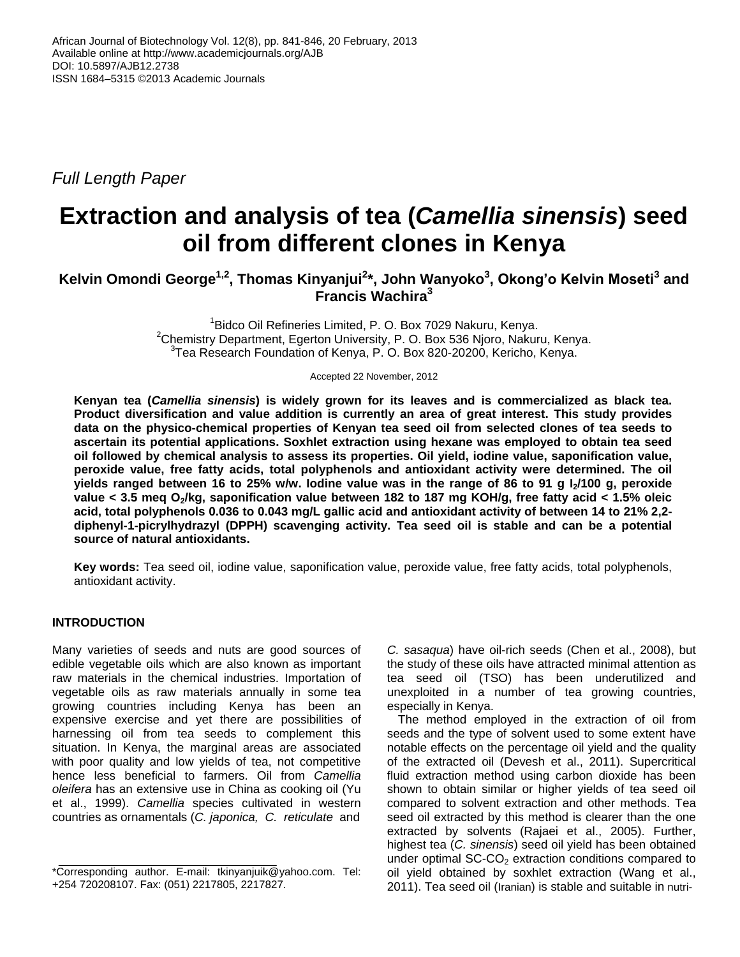*Full Length Paper*

# **Extraction and analysis of tea (***Camellia sinensis***) seed oil from different clones in Kenya**

**Kelvin Omondi George1,2 , Thomas Kinyanjui<sup>2</sup> \*, John Wanyoko<sup>3</sup> , Okong'o Kelvin Moseti<sup>3</sup> and Francis Wachira<sup>3</sup>**

> <sup>1</sup> Bidco Oil Refineries Limited, P. O. Box 7029 Nakuru, Kenya. <sup>2</sup>Chemistry Department, Egerton University, P. O. Box 536 Njoro, Nakuru, Kenya. <sup>3</sup> Tea Research Foundation of Kenya, P. O. Box 820-20200, Kericho, Kenya.

> > Accepted 22 November, 2012

**Kenyan tea (***Camellia sinensis***) is widely grown for its leaves and is commercialized as black tea. Product diversification and value addition is currently an area of great interest. This study provides data on the physico-chemical properties of Kenyan tea seed oil from selected clones of tea seeds to ascertain its potential applications. Soxhlet extraction using hexane was employed to obtain tea seed oil followed by chemical analysis to assess its properties. Oil yield, iodine value, saponification value, peroxide value, free fatty acids, total polyphenols and antioxidant activity were determined. The oil yields ranged between 16 to 25% w/w. Iodine value was in the range of 86 to 91 g I2/100 g, peroxide value < 3.5 meq O2/kg, saponification value between 182 to 187 mg KOH/g, free fatty acid < 1.5% oleic acid, total polyphenols 0.036 to 0.043 mg/L gallic acid and antioxidant activity of between 14 to 21% 2,2 diphenyl-1-picrylhydrazyl (DPPH) scavenging activity. Tea seed oil is stable and can be a potential source of natural antioxidants.**

**Key words:** Tea seed oil, iodine value, saponification value, peroxide value, free fatty acids, total polyphenols, antioxidant activity.

# **INTRODUCTION**

Many varieties of seeds and nuts are good sources of edible vegetable oils which are also known as important raw materials in the chemical industries. Importation of vegetable oils as raw materials annually in some tea growing countries including Kenya has been an expensive exercise and yet there are possibilities of harnessing oil from tea seeds to complement this situation. In Kenya, the marginal areas are associated with poor quality and low yields of tea, not competitive hence less beneficial to farmers. Oil from *Camellia oleifera* has an extensive use in China as cooking oil (Yu et al., 1999). *Camellia* species cultivated in western countries as ornamentals (*C. japonica, C. reticulate* and

*C. sasaqua*) have oil-rich seeds (Chen et al., 2008), but the study of these oils have attracted minimal attention as tea seed oil (TSO) has been underutilized and unexploited in a number of tea growing countries, especially in Kenya.

The method employed in the extraction of oil from seeds and the type of solvent used to some extent have notable effects on the percentage oil yield and the quality of the extracted oil (Devesh et al., 2011). Supercritical fluid extraction method using carbon dioxide has been shown to obtain similar or higher yields of tea seed oil compared to solvent extraction and other methods. Tea seed oil extracted by this method is clearer than the one extracted by solvents (Rajaei et al., 2005). Further, highest tea (*C. sinensis*) seed oil yield has been obtained under optimal  $SC\text{-}CO<sub>2</sub>$  extraction conditions compared to oil yield obtained by soxhlet extraction (Wang et al., 2011). Tea seed oil (Iranian) is stable and suitable in nutri-

<sup>\*</sup>Corresponding author. E-mail: tkinyanjuik@yahoo.com. Tel: +254 720208107. Fax: (051) 2217805, 2217827.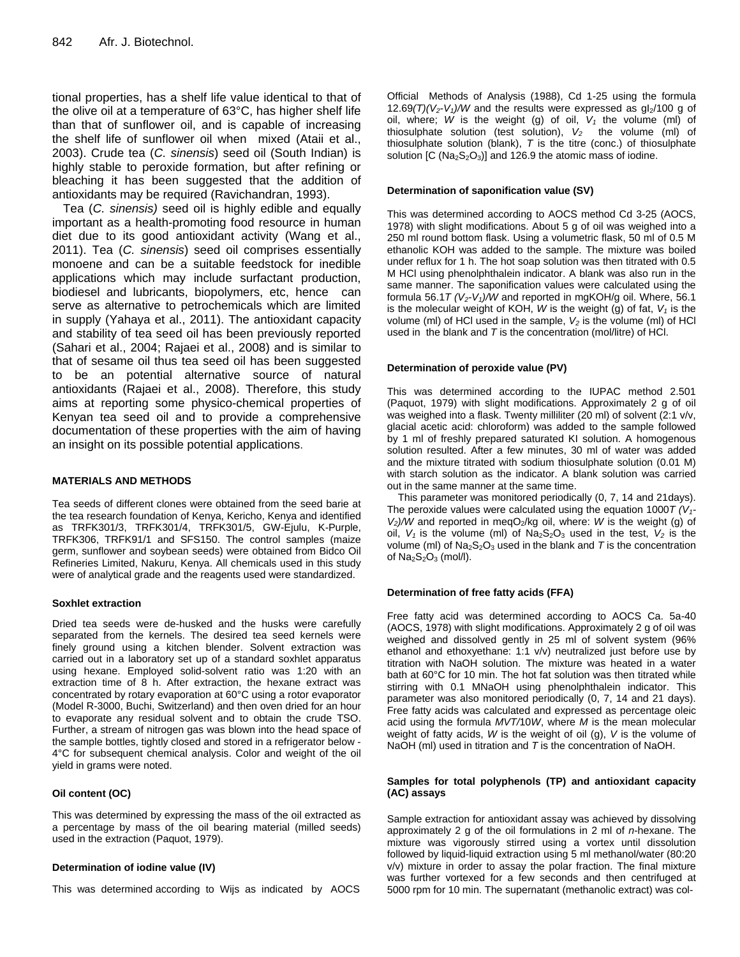tional properties, has a shelf life value identical to that of the olive oil at a temperature of 63°C, has higher shelf life than that of sunflower oil, and is capable of increasing the shelf life of sunflower oil when mixed (Ataii et al., 2003). Crude tea (*C. sinensis*) seed oil (South Indian) is highly stable to peroxide formation, but after refining or bleaching it has been suggested that the addition of antioxidants may be required (Ravichandran, 1993).

Tea (*C. sinensis)* seed oil is highly edible and equally important as a health-promoting food resource in human diet due to its good antioxidant activity (Wang et al., 2011). Tea (*C. sinensis*) seed oil comprises essentially monoene and can be a suitable feedstock for inedible applications which may include surfactant production, biodiesel and lubricants, biopolymers, etc, hence can serve as alternative to petrochemicals which are limited in supply (Yahaya et al., 2011). The antioxidant capacity and stability of tea seed oil has been previously reported (Sahari et al., 2004; Rajaei et al., 2008) and is similar to that of sesame oil thus tea seed oil has been suggested to be an potential alternative source of natural antioxidants (Rajaei et al., 2008). Therefore, this study aims at reporting some physico-chemical properties of Kenyan tea seed oil and to provide a comprehensive documentation of these properties with the aim of having an insight on its possible potential applications.

## **MATERIALS AND METHODS**

Tea seeds of different clones were obtained from the seed barie at the tea research foundation of Kenya, Kericho, Kenya and identified as TRFK301/3, TRFK301/4, TRFK301/5, GW-Ejulu, K-Purple, TRFK306, TRFK91/1 and SFS150. The control samples (maize germ, sunflower and soybean seeds) were obtained from Bidco Oil Refineries Limited, Nakuru, Kenya. All chemicals used in this study were of analytical grade and the reagents used were standardized.

## **Soxhlet extraction**

Dried tea seeds were de-husked and the husks were carefully separated from the kernels. The desired tea seed kernels were finely ground using a kitchen blender. Solvent extraction was carried out in a laboratory set up of a standard soxhlet apparatus using hexane. Employed solid-solvent ratio was 1:20 with an extraction time of 8 h. After extraction, the hexane extract was concentrated by rotary evaporation at 60°C using a rotor evaporator (Model R-3000, Buchi, Switzerland) and then oven dried for an hour to evaporate any residual solvent and to obtain the crude TSO. Further, a stream of nitrogen gas was blown into the head space of the sample bottles, tightly closed and stored in a refrigerator below - 4°C for subsequent chemical analysis. Color and weight of the oil yield in grams were noted.

## **Oil content (OC)**

This was determined by expressing the mass of the oil extracted as a percentage by mass of the oil bearing material (milled seeds) used in the extraction (Paquot, 1979).

## **Determination of iodine value (IV)**

This was determined according to Wijs as indicated by AOCS

Official Methods of Analysis (1988), Cd 1-25 using the formula 12.69 $(T)(V_2 - V_1)/W$  and the results were expressed as  $q_2/100 q$  of oil, where; *W* is the weight (g) of oil, *V<sup>1</sup>* the volume (ml) of thiosulphate solution (test solution), *V<sup>2</sup>* the volume (ml) of thiosulphate solution (blank), *T* is the titre (conc.) of thiosulphate solution  $[C (Na<sub>2</sub>S<sub>2</sub>O<sub>3</sub>)]$  and 126.9 the atomic mass of iodine.

#### **Determination of saponification value (SV)**

This was determined according to AOCS method Cd 3-25 (AOCS, 1978) with slight modifications. About 5 g of oil was weighed into a 250 ml round bottom flask. Using a volumetric flask, 50 ml of 0.5 M ethanolic KOH was added to the sample. The mixture was boiled under reflux for 1 h. The hot soap solution was then titrated with 0.5 M HCl using phenolphthalein indicator. A blank was also run in the same manner. The saponification values were calculated using the formula 56.1*T (V2-V1)/W* and reported in mgKOH/g oil. Where, 56.1 is the molecular weight of KOH, *W* is the weight (g) of fat, *V<sup>1</sup>* is the volume (ml) of HCl used in the sample, *V<sup>2</sup>* is the volume (ml) of HCl used in the blank and *T* is the concentration (mol/litre) of HCl.

#### **Determination of peroxide value (PV)**

This was determined according to the IUPAC method 2.501 (Paquot, 1979) with slight modifications. Approximately 2 g of oil was weighed into a flask. Twenty milliliter (20 ml) of solvent (2:1 v/v, glacial acetic acid: chloroform) was added to the sample followed by 1 ml of freshly prepared saturated KI solution. A homogenous solution resulted. After a few minutes, 30 ml of water was added and the mixture titrated with sodium thiosulphate solution (0.01 M) with starch solution as the indicator. A blank solution was carried out in the same manner at the same time.

This parameter was monitored periodically (0, 7, 14 and 21days). The peroxide values were calculated using the equation 1000*T (V1-*  $V_2$ */W* and reported in meqO<sub>2</sub>/kg oil, where: *W* is the weight (g) of oil,  $V_1$  is the volume (ml) of  $Na_2S_2O_3$  used in the test,  $V_2$  is the volume (ml) of  $Na<sub>2</sub>S<sub>2</sub>O<sub>3</sub>$  used in the blank and *T* is the concentration of  $Na<sub>2</sub>S<sub>2</sub>O<sub>3</sub>$  (mol/l).

## **Determination of free fatty acids (FFA)**

Free fatty acid was determined according to AOCS Ca. 5a-40 (AOCS, 1978) with slight modifications. Approximately 2 g of oil was weighed and dissolved gently in 25 ml of solvent system (96% ethanol and ethoxyethane: 1:1 v/v) neutralized just before use by titration with NaOH solution. The mixture was heated in a water bath at 60°C for 10 min. The hot fat solution was then titrated while stirring with 0.1 MNaOH using phenolphthalein indicator. This parameter was also monitored periodically (0, 7, 14 and 21 days). Free fatty acids was calculated and expressed as percentage oleic acid using the formula *MVT/*10*W*, where *M* is the mean molecular weight of fatty acids, *W* is the weight of oil (g), *V* is the volume of NaOH (ml) used in titration and *T* is the concentration of NaOH.

#### **Samples for total polyphenols (TP) and antioxidant capacity (AC) assays**

Sample extraction for antioxidant assay was achieved by dissolving approximately 2 g of the oil formulations in 2 ml of *n*-hexane. The mixture was vigorously stirred using a vortex until dissolution followed by liquid-liquid extraction using 5 ml methanol/water (80:20 v/v) mixture in order to assay the polar fraction. The final mixture was further vortexed for a few seconds and then centrifuged at 5000 rpm for 10 min. The supernatant (methanolic extract) was col-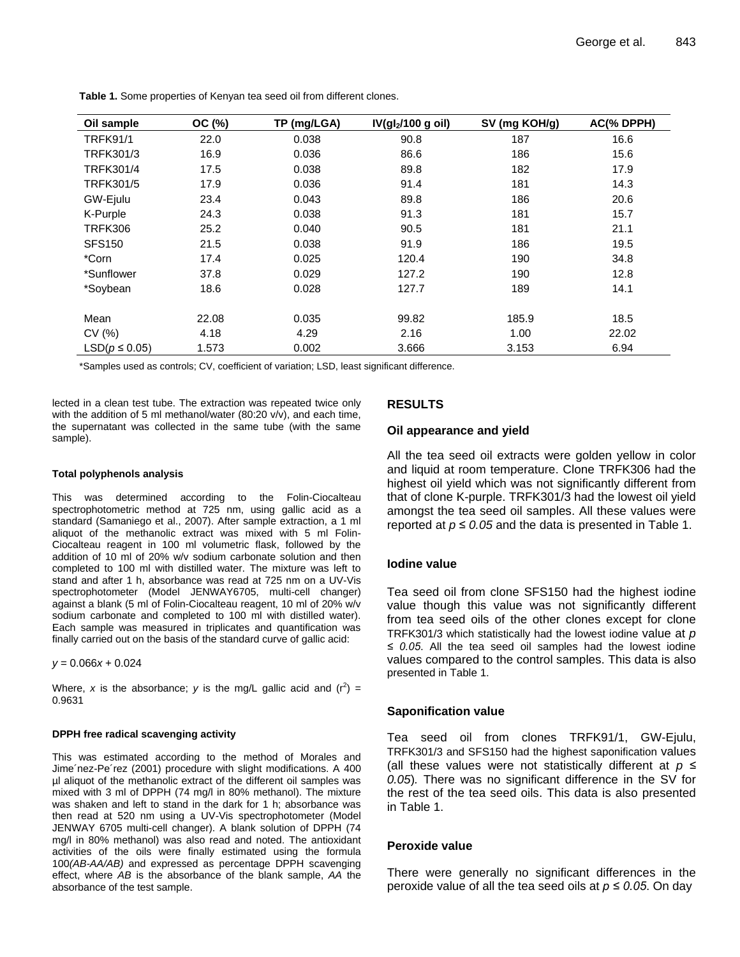| Oil sample         | OC (%) | TP (mg/LGA) | IV(gl <sub>2</sub> /100 g oil) | SV (mg KOH/g) | AC(% DPPH) |  |
|--------------------|--------|-------------|--------------------------------|---------------|------------|--|
| <b>TRFK91/1</b>    | 22.0   | 0.038       | 90.8                           | 187           | 16.6       |  |
| TRFK301/3          | 16.9   | 0.036       | 86.6                           | 186           | 15.6       |  |
| <b>TRFK301/4</b>   | 17.5   | 0.038       | 89.8                           | 182           | 17.9       |  |
| <b>TRFK301/5</b>   | 17.9   | 0.036       | 91.4                           | 181           | 14.3       |  |
| GW-Ejulu           | 23.4   | 0.043       | 89.8                           | 186           | 20.6       |  |
| K-Purple           | 24.3   | 0.038       | 91.3                           | 181           | 15.7       |  |
| <b>TRFK306</b>     | 25.2   | 0.040       | 90.5                           | 181           | 21.1       |  |
| <b>SFS150</b>      | 21.5   | 0.038       | 91.9                           | 186           | 19.5       |  |
| *Corn              | 17.4   | 0.025       | 120.4                          | 190           | 34.8       |  |
| *Sunflower         | 37.8   | 0.029       | 127.2                          | 190           | 12.8       |  |
| *Soybean           | 18.6   | 0.028       | 127.7                          | 189           | 14.1       |  |
|                    |        |             |                                |               |            |  |
| Mean               | 22.08  | 0.035       | 99.82                          | 185.9         | 18.5       |  |
| CV(%)              | 4.18   | 4.29        | 2.16                           | 1.00          | 22.02      |  |
| $LSD(p \leq 0.05)$ | 1.573  | 0.002       | 3.666                          | 3.153         | 6.94       |  |

**Table 1.** Some properties of Kenyan tea seed oil from different clones.

\*Samples used as controls; CV, coefficient of variation; LSD, least significant difference.

lected in a clean test tube. The extraction was repeated twice only with the addition of 5 ml methanol/water (80:20 v/v), and each time, the supernatant was collected in the same tube (with the same sample).

#### **Total polyphenols analysis**

This was determined according to the Folin-Ciocalteau spectrophotometric method at 725 nm, using gallic acid as a standard (Samaniego et al., 2007). After sample extraction, a 1 ml aliquot of the methanolic extract was mixed with 5 ml Folin-Ciocalteau reagent in 100 ml volumetric flask, followed by the addition of 10 ml of 20% w/v sodium carbonate solution and then completed to 100 ml with distilled water. The mixture was left to stand and after 1 h, absorbance was read at 725 nm on a UV-Vis spectrophotometer (Model JENWAY6705, multi-cell changer) against a blank (5 ml of Folin-Ciocalteau reagent, 10 ml of 20% w/v sodium carbonate and completed to 100 ml with distilled water). Each sample was measured in triplicates and quantification was finally carried out on the basis of the standard curve of gallic acid:

*y* = 0.066*x* + 0.024

Where, x is the absorbance; y is the mg/L gallic acid and  $(r^2)$  = 0.9631

## **DPPH free radical scavenging activity**

This was estimated according to the method of Morales and Jime´nez-Pe´rez (2001) procedure with slight modifications. A 400 µl aliquot of the methanolic extract of the different oil samples was mixed with 3 ml of DPPH (74 mg/l in 80% methanol). The mixture was shaken and left to stand in the dark for 1 h; absorbance was then read at 520 nm using a UV-Vis spectrophotometer (Model JENWAY 6705 multi-cell changer). A blank solution of DPPH (74 mg/l in 80% methanol) was also read and noted. The antioxidant activities of the oils were finally estimated using the formula 100*(AB-AA/AB)* and expressed as percentage DPPH scavenging effect, where *AB* is the absorbance of the blank sample, *AA* the absorbance of the test sample.

# **RESULTS**

## **Oil appearance and yield**

All the tea seed oil extracts were golden yellow in color and liquid at room temperature. Clone TRFK306 had the highest oil yield which was not significantly different from that of clone K-purple. TRFK301/3 had the lowest oil yield amongst the tea seed oil samples. All these values were reported at  $p \le 0.05$  and the data is presented in Table 1.

# **Iodine value**

Tea seed oil from clone SFS150 had the highest iodine value though this value was not significantly different from tea seed oils of the other clones except for clone TRFK301/3 which statistically had the lowest iodine value at *p ≤ 0.05*. All the tea seed oil samples had the lowest iodine values compared to the control samples. This data is also presented in Table 1.

# **Saponification value**

Tea seed oil from clones TRFK91/1, GW-Ejulu, TRFK301/3 and SFS150 had the highest saponification values (all these values were not statistically different at *p ≤ 0.05*)*.* There was no significant difference in the SV for the rest of the tea seed oils. This data is also presented in Table 1.

## **Peroxide value**

There were generally no significant differences in the peroxide value of all the tea seed oils at *p ≤ 0.05*. On day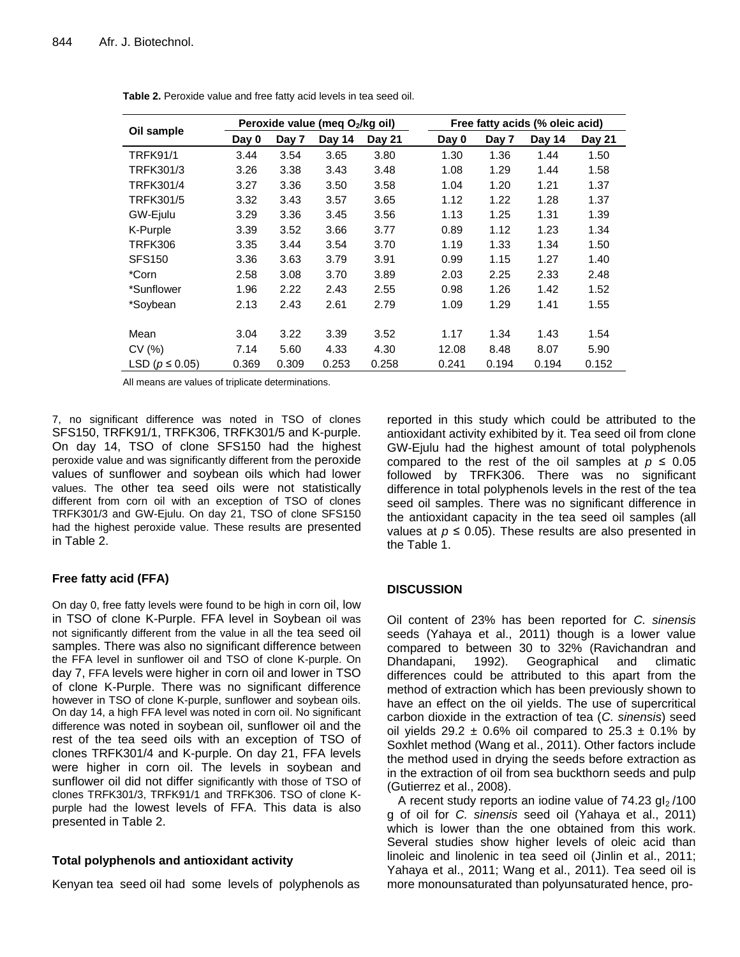|                      | Peroxide value (meg O2/kg oil) |       |        |        |       | Free fatty acids (% oleic acid) |        |        |  |
|----------------------|--------------------------------|-------|--------|--------|-------|---------------------------------|--------|--------|--|
| Oil sample           | Day 0                          | Day 7 | Day 14 | Day 21 | Day 0 | Day 7                           | Day 14 | Day 21 |  |
| <b>TRFK91/1</b>      | 3.44                           | 3.54  | 3.65   | 3.80   | 1.30  | 1.36                            | 1.44   | 1.50   |  |
| TRFK301/3            | 3.26                           | 3.38  | 3.43   | 3.48   | 1.08  | 1.29                            | 1.44   | 1.58   |  |
| TRFK301/4            | 3.27                           | 3.36  | 3.50   | 3.58   | 1.04  | 1.20                            | 1.21   | 1.37   |  |
| <b>TRFK301/5</b>     | 3.32                           | 3.43  | 3.57   | 3.65   | 1.12  | 1.22                            | 1.28   | 1.37   |  |
| GW-Ejulu             | 3.29                           | 3.36  | 3.45   | 3.56   | 1.13  | 1.25                            | 1.31   | 1.39   |  |
| K-Purple             | 3.39                           | 3.52  | 3.66   | 3.77   | 0.89  | 1.12                            | 1.23   | 1.34   |  |
| <b>TRFK306</b>       | 3.35                           | 3.44  | 3.54   | 3.70   | 1.19  | 1.33                            | 1.34   | 1.50   |  |
| <b>SFS150</b>        | 3.36                           | 3.63  | 3.79   | 3.91   | 0.99  | 1.15                            | 1.27   | 1.40   |  |
| *Corn                | 2.58                           | 3.08  | 3.70   | 3.89   | 2.03  | 2.25                            | 2.33   | 2.48   |  |
| *Sunflower           | 1.96                           | 2.22  | 2.43   | 2.55   | 0.98  | 1.26                            | 1.42   | 1.52   |  |
| *Soybean             | 2.13                           | 2.43  | 2.61   | 2.79   | 1.09  | 1.29                            | 1.41   | 1.55   |  |
|                      |                                |       |        |        |       |                                 |        |        |  |
| Mean                 | 3.04                           | 3.22  | 3.39   | 3.52   | 1.17  | 1.34                            | 1.43   | 1.54   |  |
| CV(%)                | 7.14                           | 5.60  | 4.33   | 4.30   | 12.08 | 8.48                            | 8.07   | 5.90   |  |
| LSD ( $p \le 0.05$ ) | 0.369                          | 0.309 | 0.253  | 0.258  | 0.241 | 0.194                           | 0.194  | 0.152  |  |

**Table 2.** Peroxide value and free fatty acid levels in tea seed oil.

All means are values of triplicate determinations.

7, no significant difference was noted in TSO of clones SFS150, TRFK91/1, TRFK306, TRFK301/5 and K-purple. On day 14, TSO of clone SFS150 had the highest peroxide value and was significantly different from the peroxide values of sunflower and soybean oils which had lower values. The other tea seed oils were not statistically different from corn oil with an exception of TSO of clones TRFK301/3 and GW-Ejulu. On day 21, TSO of clone SFS150 had the highest peroxide value. These results are presented in Table 2.

# **Free fatty acid (FFA)**

On day 0, free fatty levels were found to be high in corn oil, low in TSO of clone K-Purple. FFA level in Soybean oil was not significantly different from the value in all the tea seed oil samples. There was also no significant difference between the FFA level in sunflower oil and TSO of clone K-purple. On day 7, FFA levels were higher in corn oil and lower in TSO of clone K-Purple. There was no significant difference however in TSO of clone K-purple, sunflower and soybean oils. On day 14, a high FFA level was noted in corn oil. No significant difference was noted in soybean oil, sunflower oil and the rest of the tea seed oils with an exception of TSO of clones TRFK301/4 and K-purple. On day 21, FFA levels were higher in corn oil. The levels in soybean and sunflower oil did not differ significantly with those of TSO of clones TRFK301/3, TRFK91/1 and TRFK306. TSO of clone Kpurple had the lowest levels of FFA. This data is also presented in Table 2.

# **Total polyphenols and antioxidant activity**

Kenyan tea seed oil had some levels of polyphenols as

reported in this study which could be attributed to the antioxidant activity exhibited by it. Tea seed oil from clone GW-Ejulu had the highest amount of total polyphenols compared to the rest of the oil samples at  $p \leq 0.05$ followed by TRFK306. There was no significant difference in total polyphenols levels in the rest of the tea seed oil samples. There was no significant difference in the antioxidant capacity in the tea seed oil samples (all values at  $p \le 0.05$ ). These results are also presented in the Table 1.

# **DISCUSSION**

Oil content of 23% has been reported for *C. sinensis* seeds (Yahaya et al., 2011) though is a lower value compared to between 30 to 32% (Ravichandran and Dhandapani, 1992). Geographical and climatic differences could be attributed to this apart from the method of extraction which has been previously shown to have an effect on the oil yields. The use of supercritical carbon dioxide in the extraction of tea (*C. sinensis*) seed oil yields 29.2  $\pm$  0.6% oil compared to 25.3  $\pm$  0.1% by Soxhlet method (Wang et al., 2011). Other factors include the method used in drying the seeds before extraction as in the extraction of oil from sea buckthorn seeds and pulp (Gutierrez et al., 2008).

A recent study reports an iodine value of  $74.23$  gl<sub>2</sub>/100 g of oil for *C. sinensis* seed oil (Yahaya et al., 2011) which is lower than the one obtained from this work. Several studies show higher levels of oleic acid than linoleic and linolenic in tea seed oil (Jinlin et al., 2011; Yahaya et al., 2011; Wang et al., 2011). Tea seed oil is more monounsaturated than polyunsaturated hence, pro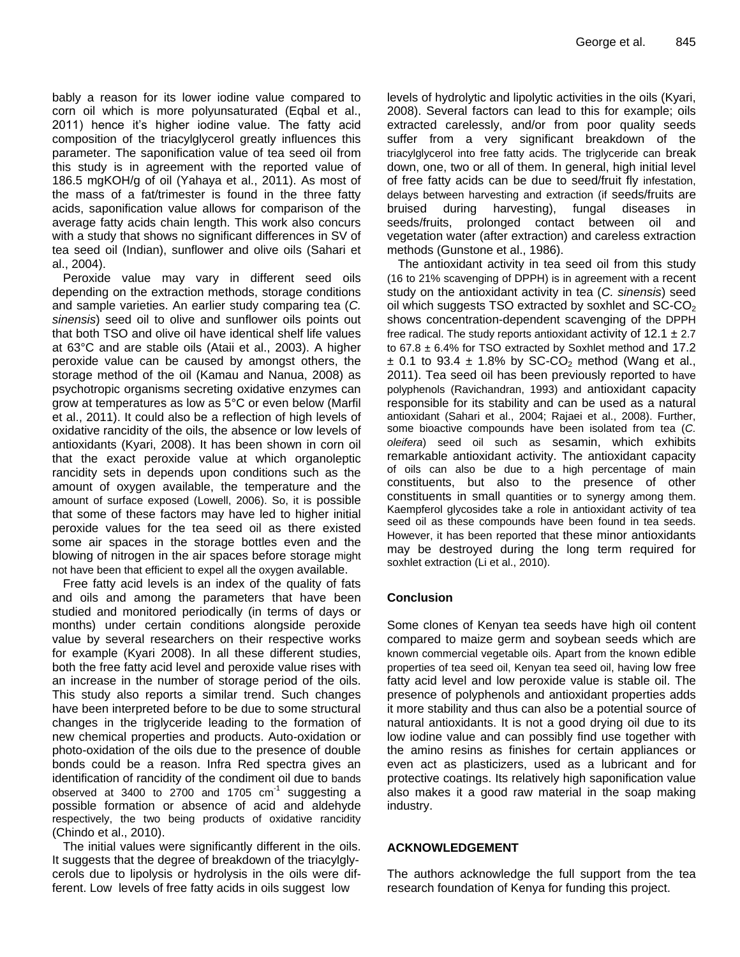bably a reason for its lower iodine value compared to corn oil which is more polyunsaturated (Eqbal et al., 2011) hence it's higher iodine value. The fatty acid composition of the triacylglycerol greatly influences this parameter. The saponification value of tea seed oil from this study is in agreement with the reported value of 186.5 mgKOH/g of oil (Yahaya et al., 2011). As most of the mass of a fat/trimester is found in the three fatty acids, saponification value allows for comparison of the average fatty acids chain length. This work also concurs with a study that shows no significant differences in SV of tea seed oil (Indian), sunflower and olive oils (Sahari et al., 2004).

Peroxide value may vary in different seed oils depending on the extraction methods, storage conditions and sample varieties. An earlier study comparing tea (*C. sinensis*) seed oil to olive and sunflower oils points out that both TSO and olive oil have identical shelf life values at 63°C and are stable oils (Ataii et al., 2003). A higher peroxide value can be caused by amongst others, the storage method of the oil (Kamau and Nanua, 2008) as psychotropic organisms secreting oxidative enzymes can grow at temperatures as low as 5°C or even below (Marfil et al., 2011). It could also be a reflection of high levels of oxidative rancidity of the oils, the absence or low levels of antioxidants (Kyari, 2008). It has been shown in corn oil that the exact peroxide value at which organoleptic rancidity sets in depends upon conditions such as the amount of oxygen available, the temperature and the amount of surface exposed (Lowell, 2006). So, it is possible that some of these factors may have led to higher initial peroxide values for the tea seed oil as there existed some air spaces in the storage bottles even and the blowing of nitrogen in the air spaces before storage might not have been that efficient to expel all the oxygen available.

Free fatty acid levels is an index of the quality of fats and oils and among the parameters that have been studied and monitored periodically (in terms of days or months) under certain conditions alongside peroxide value by several researchers on their respective works for example (Kyari 2008). In all these different studies, both the free fatty acid level and peroxide value rises with an increase in the number of storage period of the oils. This study also reports a similar trend. Such changes have been interpreted before to be due to some structural changes in the triglyceride leading to the formation of new chemical properties and products. Auto-oxidation or photo-oxidation of the oils due to the presence of double bonds could be a reason. Infra Red spectra gives an identification of rancidity of the condiment oil due to bands observed at 3400 to  $2700$  and 1705  $cm^{-1}$  suggesting a possible formation or absence of acid and aldehyde respectively, the two being products of oxidative rancidity (Chindo et al., 2010).

The initial values were significantly different in the oils. It suggests that the degree of breakdown of the triacylglycerols due to lipolysis or hydrolysis in the oils were different. Low levels of free fatty acids in oils suggest low

levels of hydrolytic and lipolytic activities in the oils (Kyari, 2008). Several factors can lead to this for example; oils extracted carelessly, and/or from poor quality seeds suffer from a very significant breakdown of the triacylglycerol into free fatty acids. The triglyceride can break down, one, two or all of them. In general, high initial level of free fatty acids can be due to seed/fruit fly infestation, delays between harvesting and extraction (if seeds/fruits are bruised during harvesting), fungal diseases in seeds/fruits, prolonged contact between oil and vegetation water (after extraction) and careless extraction methods (Gunstone et al., 1986).

The antioxidant activity in tea seed oil from this study (16 to 21% scavenging of DPPH) is in agreement with a recent study on the antioxidant activity in tea (*C. sinensis*) seed oil which suggests TSO extracted by soxhlet and  $SC-CO<sub>2</sub>$ shows concentration-dependent scavenging of the DPPH free radical. The study reports antioxidant activity of  $12.1 \pm 2.7$ to  $67.8 \pm 6.4\%$  for TSO extracted by Soxhlet method and 17.2  $\pm$  0.1 to 93.4  $\pm$  1.8% by SC-CO<sub>2</sub> method (Wang et al., 2011). Tea seed oil has been previously reported to have polyphenols (Ravichandran, 1993) and antioxidant capacity responsible for its stability and can be used as a natural antioxidant (Sahari et al., 2004; Rajaei et al., 2008). Further, some bioactive compounds have been isolated from tea (*C. oleifera*) seed oil such as sesamin, which exhibits remarkable antioxidant activity. The antioxidant capacity of oils can also be due to a high percentage of main constituents, but also to the presence of other constituents in small quantities or to synergy among them. Kaempferol glycosides take a role in antioxidant activity of tea seed oil as these compounds have been found in tea seeds. However, it has been reported that these minor antioxidants may be destroyed during the long term required for soxhlet extraction (Li et al., 2010).

# **Conclusion**

Some clones of Kenyan tea seeds have high oil content compared to maize germ and soybean seeds which are known commercial vegetable oils. Apart from the known edible properties of tea seed oil, Kenyan tea seed oil, having low free fatty acid level and low peroxide value is stable oil. The presence of polyphenols and antioxidant properties adds it more stability and thus can also be a potential source of natural antioxidants. It is not a good drying oil due to its low iodine value and can possibly find use together with the amino resins as finishes for certain appliances or even act as plasticizers, used as a lubricant and for protective coatings. Its relatively high saponification value also makes it a good raw material in the soap making industry.

# **ACKNOWLEDGEMENT**

The authors acknowledge the full support from the tea research foundation of Kenya for funding this project.